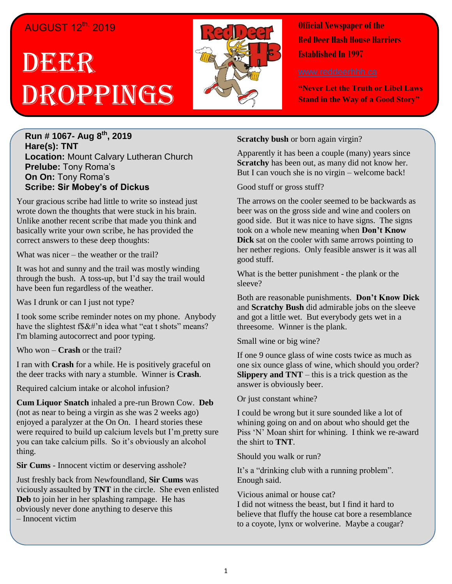## AUGUST 12<sup>th,</sup> 2019

# DEEGR Droppings



**Official Newspaper of the Red Deer Hash House Harriers Established In 1997** 

**"Never Let the Truth or Libel Laws Stand in the Way of a Good Story"**

**Run # 1067- Aug 8th , 2019 Hare(s): TNT Location:** Mount Calvary Lutheran Church **Prelube:** Tony Roma's **On On:** Tony Roma's **Scribe: Sir Mobey's of Dickus**

Your gracious scribe had little to write so instead just wrote down the thoughts that were stuck in his brain. Unlike another recent scribe that made you think and basically write your own scribe, he has provided the correct answers to these deep thoughts:

What was nicer – the weather or the trail?

It was hot and sunny and the trail was mostly winding through the bush. A toss-up, but I'd say the trail would have been fun regardless of the weather.

Was I drunk or can I just not type?

I took some scribe reminder notes on my phone. Anybody have the slightest f\$&#'n idea what "eat t shots" means? I'm blaming autocorrect and poor typing.

Who won – **Crash** or the trail?

I ran with **Crash** for a while. He is positively graceful on the deer tracks with nary a stumble. Winner is **Crash**.

Required calcium intake or alcohol infusion?

**Cum Liquor Snatch** inhaled a pre-run Brown Cow. **Deb** (not as near to being a virgin as she was 2 weeks ago) enjoyed a paralyzer at the On On. I heard stories these were required to build up calcium levels but I'm pretty sure you can take calcium pills. So it's obviously an alcohol thing.

**Sir Cums** - Innocent victim or deserving asshole?

Just freshly back from Newfoundland, **Sir Cums** was viciously assaulted by **TNT** in the circle. She even enlisted **Deb** to join her in her splashing rampage. He has obviously never done anything to deserve this

– Innocent victim

**Scratchy bush** or born again virgin?

Apparently it has been a couple (many) years since **Scratchy** has been out, as many did not know her. But I can vouch she is no virgin – welcome back!

Good stuff or gross stuff?

The arrows on the cooler seemed to be backwards as beer was on the gross side and wine and coolers on good side. But it was nice to have signs. The signs took on a whole new meaning when **Don't Know Dick** sat on the cooler with same arrows pointing to her nether regions. Only feasible answer is it was all good stuff.

What is the better punishment - the plank or the sleeve?

Both are reasonable punishments. **Don't Know Dick** and **Scratchy Bush** did admirable jobs on the sleeve and got a little wet. But everybody gets wet in a threesome. Winner is the plank.

Small wine or big wine?

If one 9 ounce glass of wine costs twice as much as one six ounce glass of wine, which should you order? **Slippery and TNT** – this is a trick question as the answer is obviously beer.

Or just constant whine?

I could be wrong but it sure sounded like a lot of whining going on and on about who should get the Piss 'N' Moan shirt for whining. I think we re-award the shirt to **TNT**.

Should you walk or run?

It's a "drinking club with a running problem". Enough said.

Vicious animal or house cat?

I did not witness the beast, but I find it hard to believe that fluffy the house cat bore a resemblance to a coyote, lynx or wolverine. Maybe a cougar?